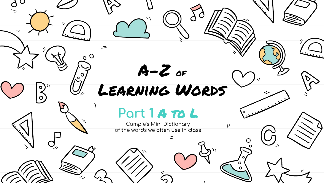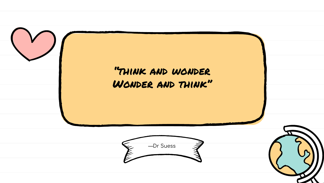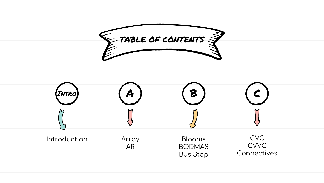

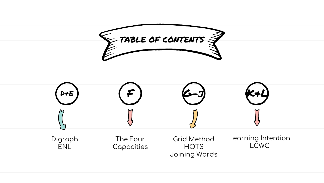

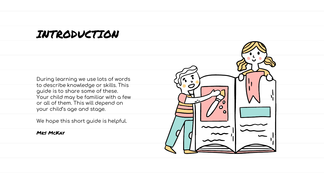#### INTRODUCTION

During learning we use lots of words to describe knowledge or skills. This guide is to share some of these. Your child may be familiar with a few or all of them. This will depend on your child's age and stage.

We hope this short guide is helpful.

**MRS MCKAY** 

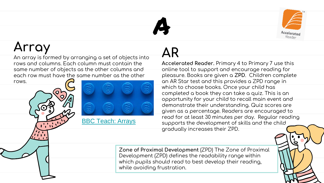

### **Array**

An array is formed by arranging a set of objects into rows and columns. Each column must contain the same number of objects as the other columns and each row must have the same number as the other rows.

[BBC Teach: Arrays](https://youtu.be/XOyOVDMjUdo)

# **AR**

A

**Accelerated Reader.** Primary 4 to Primary 7 use this online tool to support and encourage reading for pleasure. Books are given a **ZPD**. Children complete an AR Star test and this provides a ZPD range in which to choose books. Once your child has completed a book they can take a quiz. This is an opportunity for your child to recall main event and demonstrate their understanding. Quiz scores are given as a percentage. Readers are encouraged to read for at least 30 minutes per day. Regular reading supports the development of skills and the child gradually increases their ZPD.

**Zone of Proximal Development** (ZPD) The Zone of Proximal Development (ZPD) defines the readability range within which pupils should read to best develop their reading, while avoiding frustration.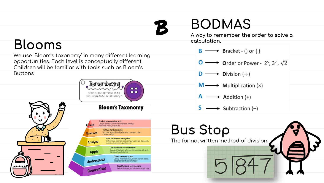#### **Blooms**

We use 'Bloom's taxonomy' in many different learning opportunities. Each level is conceptually different. Children will be familiar with tools such as Bloom's Buttons





# **BODMAS**

**A way to remember the order to solve a calculation.**

- $\mathsf{B} \longrightarrow$  Bracket () or { }
- $\longrightarrow$  Order or Power 2<sup>5</sup>, 3<sup>7</sup>,  $\sqrt{2}$
- $\rightarrow$  Division (÷)
- $\rightarrow$  Multiplication (x)  $M -$
- $\rightarrow$  Addition (+)
- $\longrightarrow$  Subtraction (-)

# **Bus Stop**

 $\mathcal B$ 

The formal written method of division.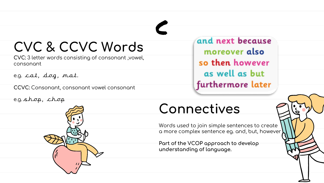## **CVC & CCVC Words**

**CVC:** 3 letter words consisting of consonant ,vowel, consonant

e.g. cat, dog, mat.

**CCVC:** Consonant, consonant vowel consonant

e.g. shop, chop

and next because moreover also so then however as well as but furthermore later

### **Connectives**

c

Words used to join simple sentences to create a more complex sentence eg. and, but, however

**Part of the VCOP approach to develop understanding of language.**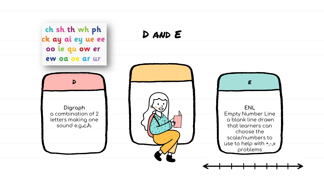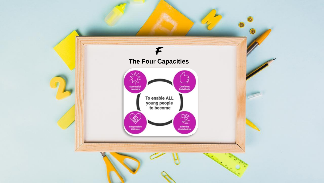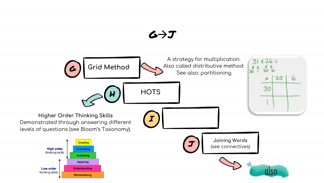#### $G \rightarrow J$

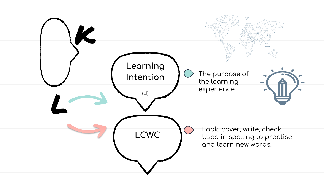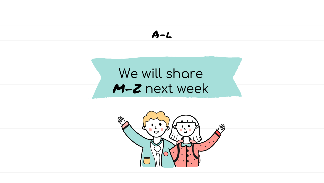$$
A-L
$$

### We will share M-Z next week